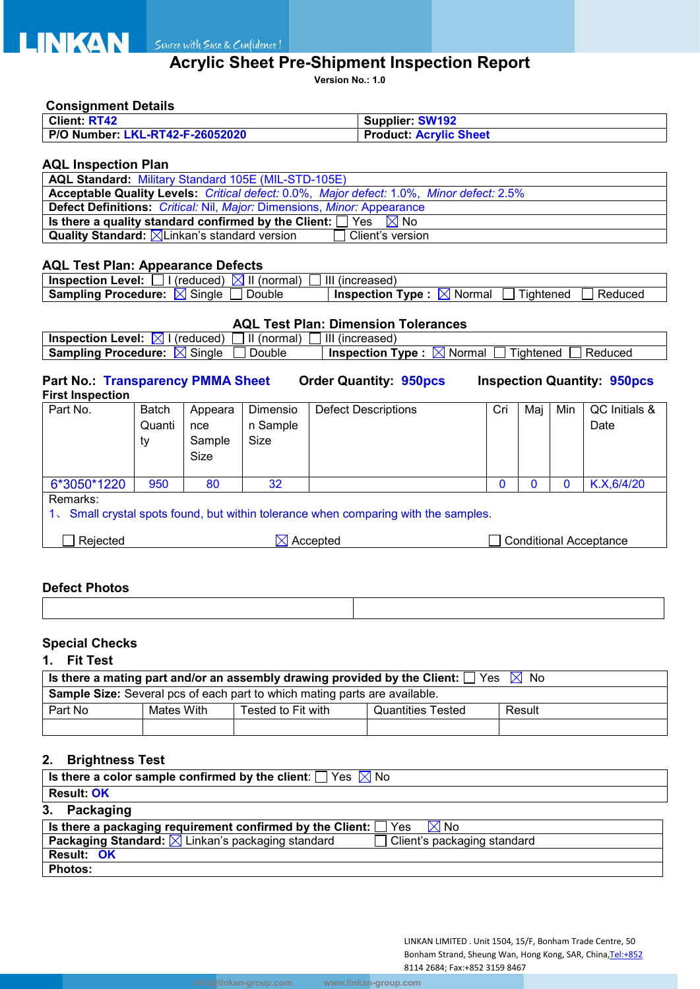# **Acrylic Sheet Pre-Shipment Inspection Report**

**Version No.: 1.0**

#### **Consignment Details**

| <b>Client: RT42</b>             | <b>Supplier: SW192</b>        |
|---------------------------------|-------------------------------|
| P/O Number: LKL-RT42-F-26052020 | <b>Product: Acrylic Sheet</b> |

## **AQL Inspection Plan**

| <b>AQL Standard: Military Standard 105E (MIL-STD-105E)</b>                               |  |  |  |  |
|------------------------------------------------------------------------------------------|--|--|--|--|
| Acceptable Quality Levels: Critical defect: 0.0%, Major defect: 1.0%, Minor defect: 2.5% |  |  |  |  |
| <b>Defect Definitions:</b> Critical: Nil, Major: Dimensions, Minor: Appearance           |  |  |  |  |
| Is there a quality standard confirmed by the Client: $\Box$ Yes $\boxtimes$ No           |  |  |  |  |
| <b>Quality Standard:</b> $\boxed{\times}$ Linkan's standard version<br>Client's version  |  |  |  |  |

## **AQL Test Plan: Appearance Defects**

| Level:<br><b>Inspection</b><br>(normal)<br>(reduced)     | Ш<br>(increased)                                                  |
|----------------------------------------------------------|-------------------------------------------------------------------|
| $\sim$<br><b>Sampling Procedure:</b><br>Double<br>Single | --<br><b>Inspection</b><br>⊺vpe<br>⊺iahtened<br>Normal<br>Reduced |

# **AQL Test Plan: Dimension Tolerances**

| II (normal)<br>ıХI<br><b>Inspection Level:</b><br>(reduced) | Ш<br>(increased)                                                      |
|-------------------------------------------------------------|-----------------------------------------------------------------------|
| Single<br>Double<br><b>Sampling Procedure:</b><br>IXI       | Type:<br>Reduced<br><b>Inspection</b><br>' Normal<br>Tightened<br>IХI |

#### **Part No.: Transparency PMMA Sheet Order Quantity: 950pcs Inspection Quantity: 950pcs First Inspection**

| Part No.                                                                                           | <b>Batch</b> | Appeara                                        | Dimensio | <b>Defect Descriptions</b> | Cri | Maj | Min | QC Initials & |  |
|----------------------------------------------------------------------------------------------------|--------------|------------------------------------------------|----------|----------------------------|-----|-----|-----|---------------|--|
|                                                                                                    | Quanti       | nce                                            | n Sample |                            |     |     |     | Date          |  |
|                                                                                                    | ty           | Sample                                         | Size     |                            |     |     |     |               |  |
|                                                                                                    |              | Size                                           |          |                            |     |     |     |               |  |
|                                                                                                    |              |                                                |          |                            |     |     |     |               |  |
| 6*3050*1220                                                                                        | 950          | 80                                             | 32       |                            |     |     |     | K.X, 6/4/20   |  |
| Remarks:                                                                                           |              |                                                |          |                            |     |     |     |               |  |
| Small crystal spots found, but within tolerance when comparing with the samples.<br>1 <sup>7</sup> |              |                                                |          |                            |     |     |     |               |  |
|                                                                                                    |              |                                                |          |                            |     |     |     |               |  |
| Rejected                                                                                           |              | Conditional Acceptance<br>$\boxtimes$ Accepted |          |                            |     |     |     |               |  |
|                                                                                                    |              |                                                |          |                            |     |     |     |               |  |

## **Defect Photos**

# **Special Checks**

## **1. Fit Test**

| Is there a mating part and/or an assembly drawing provided by the Client: $\Box$ Yes $\Box$ No |  |  |  |  |  |  |  |  |  |  |
|------------------------------------------------------------------------------------------------|--|--|--|--|--|--|--|--|--|--|
| <b>Sample Size:</b> Several pcs of each part to which mating parts are available.              |  |  |  |  |  |  |  |  |  |  |
| Part No<br>Mates With<br>Tested to Fit with<br><b>Quantities Tested</b><br>Result              |  |  |  |  |  |  |  |  |  |  |
|                                                                                                |  |  |  |  |  |  |  |  |  |  |

# **2. Brightness Test**

| Is there a color sample confirmed by the client: $\Box$ Yes $\boxtimes$ No                             |
|--------------------------------------------------------------------------------------------------------|
| <b>Result: OK</b>                                                                                      |
| 3. Packaging                                                                                           |
| Is there a packaging requirement confirmed by the Client: $\Box$ Yes<br>$\boxtimes$ No                 |
| <b>Packaging Standard:</b> $\boxed{\times}$ Linkan's packaging standard<br>Client's packaging standard |
| <b>Result: OK</b>                                                                                      |
| <b>Photos:</b>                                                                                         |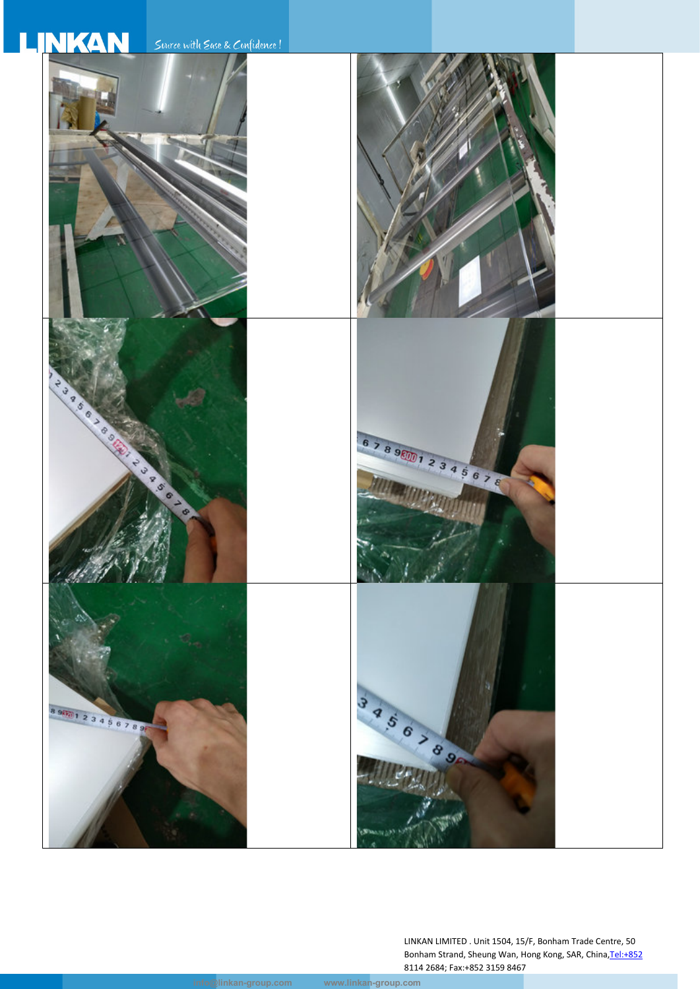# **LINKAN**

Source with Ease & Confidence!



LINKAN LIMITED . Unit 1504, 15/F, Bonham Trade Centre, 50 Bonham Strand, Sheung Wan, Hong Kong, SAR, China, Tel:+852 8114 2684; Fax:+852 3159 8467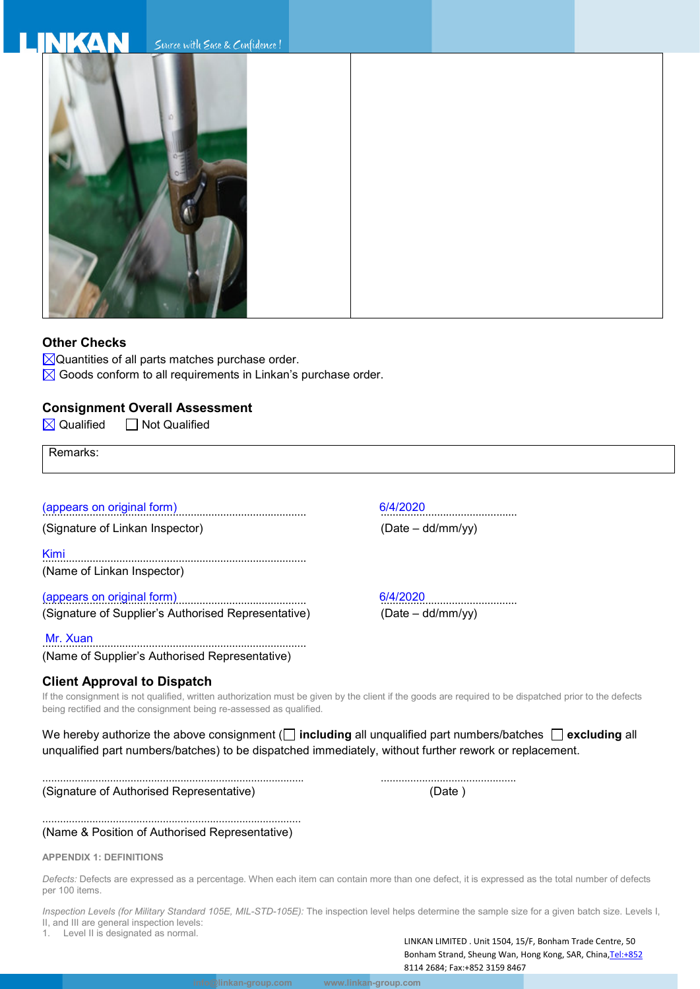#### **INKAN** Suurce with Ease & Confidence!



## **Other Checks**

- $\boxtimes$ Quantities of all parts matches purchase order.
- $\boxtimes$  Goods conform to all requirements in Linkan's purchase order.

## **Consignment Overall Assessment**

 $\boxtimes$  Qualified  $\Box$  Not Qualified

Remarks:

# (appears on original form) 6/4/2020 ......................................................................................... ..............................................

(Signature of Linkan Inspector) (Date – dd/mm/yy)

Kimi ......................................................................................... (Name of Linkan Inspector)

# (appears on original form)<br>
(Signature of Supplier's Authorised Representative) (Date – dd/mm/yy) (Signature of Supplier's Authorised Representative)

Mr. Xuan ......................................................................................... (Name of Supplier's Authorised Representative)

# **Client Approval to Dispatch**

If the consignment is not qualified, written authorization must be given by the client if the goods are required to be dispatched prior to the defects being rectified and the consignment being re-assessed as qualified.

We hereby authorize the above consignment (**including** all unqualified part numbers/batches **excluding** all unqualified part numbers/batches) to be dispatched immediately, without further rework or replacement.

......................................................................................... .............................................. (Signature of Authorised Representative) (Date )

#### ........................................................................................ (Name & Position of Authorised Representative)

#### **APPENDIX 1: DEFINITIONS**

*Defects:* Defects are expressed as a percentage. When each item can contain more than one defect, it is expressed as the total number of defects per 100 items.

*Inspection Levels (for Military Standard 105E, MIL-STD-105E):* The inspection level helps determine the sample size for a given batch size. Levels I, II, and III are general inspection levels: 1. Level II is designated as normal.

LINKAN LIMITED . Unit 1504, 15/F, Bonham Trade Centre, 50 Bonham Strand, Sheung Wan, Hong Kong, SAR, China, Tel:+852 8114 2684; Fax:+852 3159 8467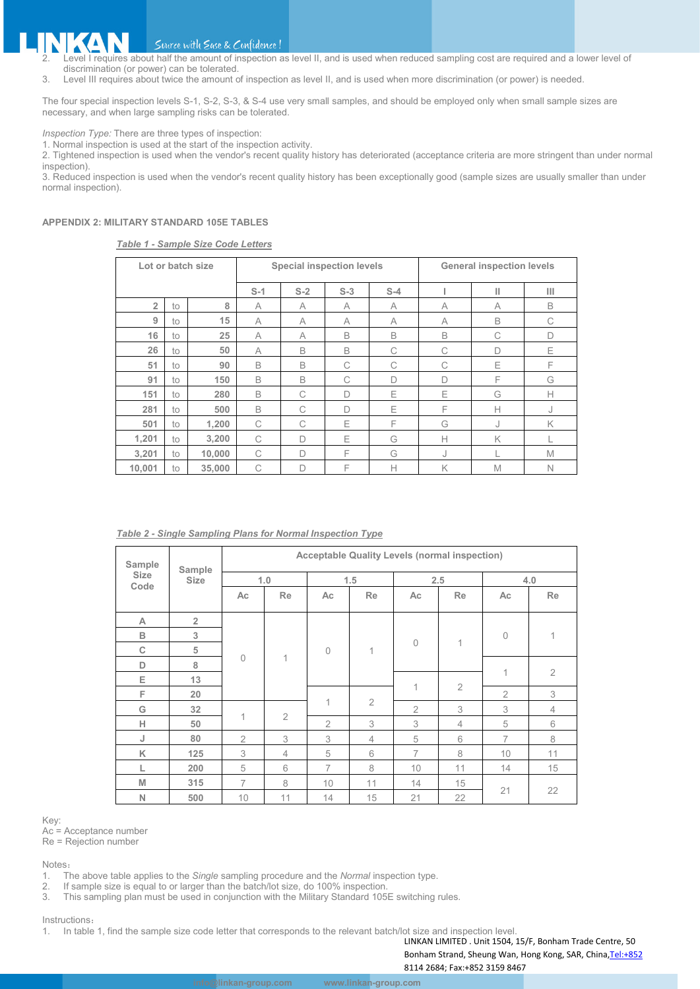#### IKAN Source with Ease & Confidence!

- Level I requires about half the amount of inspection as level II, and is used when reduced sampling cost are required and a lower level of discrimination (or power) can be tolerated.
- 3. Level III requires about twice the amount of inspection as level II, and is used when more discrimination (or power) is needed.

The four special inspection levels S-1, S-2, S-3, & S-4 use very small samples, and should be employed only when small sample sizes are necessary, and when large sampling risks can be tolerated.

*Inspection Type:* There are three types of inspection:

1. Normal inspection is used at the start of the inspection activity.

2. Tightened inspection is used when the vendor's recent quality history has deteriorated (acceptance criteria are more stringent than under normal inspection).

3. Reduced inspection is used when the vendor's recent quality history has been exceptionally good (sample sizes are usually smaller than under normal inspection).

#### **APPENDIX 2: MILITARY STANDARD 105E TABLES**

#### *Table 1 - Sample Size Code Letters*

| Lot or batch size |    |        | <b>Special inspection levels</b> |       |        |       | <b>General inspection levels</b> |   |              |  |
|-------------------|----|--------|----------------------------------|-------|--------|-------|----------------------------------|---|--------------|--|
|                   |    |        |                                  | $S-2$ | $S-3$  | $S-4$ |                                  | Ш | Ш            |  |
| $\overline{2}$    | to | 8      | A                                | A     | A      | A     | A                                | A | B            |  |
| 9                 | to | 15     | A                                | A     | A      | A     | A                                | B | C            |  |
| 16                | to | 25     | A                                | A     | B      | B     | B                                | C | D            |  |
| 26                | to | 50     | A                                | B     | B      | C     | C                                | D | Ε            |  |
| 51                | to | 90     | B                                | B     | C      | C     | C                                | Ε | F            |  |
| 91                | to | 150    | B                                | B     | C      | D     | $\Box$                           | F | G            |  |
| 151               | to | 280    | B                                | C     | D      | Ε     | Ε                                | G | $\mathsf{H}$ |  |
| 281               | to | 500    | B                                | C     | $\Box$ | Ε     | F                                | Н | J            |  |
| 501               | to | 1,200  | C                                | C     | Ε      | F     | G                                | J | K            |  |
| 1,201             | to | 3,200  | C                                | D     | Ε      | G     | $\mathsf{H}$                     | K |              |  |
| 3,201             | to | 10,000 | C                                | D     | F      | G     | J                                |   | M            |  |
| 10,001            | to | 35,000 | C                                | D     | F      | Н     | K                                | M | $\mathbb N$  |  |

#### *Table 2 - Single Sampling Plans for Normal Inspection Type*

| Sample<br>Sample<br><b>Size</b><br><b>Size</b> |                | <b>Acceptable Quality Levels (normal inspection)</b> |                |                |                |                |                |                |                |  |
|------------------------------------------------|----------------|------------------------------------------------------|----------------|----------------|----------------|----------------|----------------|----------------|----------------|--|
|                                                | 1.0            |                                                      | 1.5            |                | 2.5            |                | 4.0            |                |                |  |
| Code                                           |                | Ac                                                   | Re             | Ac             | <b>Re</b>      | Ac             | Re             | Ac             | Re             |  |
| A                                              | $\overline{2}$ | $\overline{0}$                                       |                | $\Omega$       | 1              | $\Omega$       | 1              |                |                |  |
| B                                              | 3              |                                                      | $\mathbf 1$    |                |                |                |                | $\mathbf{0}$   | 1              |  |
| $\mathbb C$                                    | 5              |                                                      |                |                |                |                |                |                |                |  |
| D                                              | 8              |                                                      |                |                |                |                |                | 1              |                |  |
| Е                                              | 13             |                                                      |                |                |                | $\mathbf{1}$   | $\overline{2}$ |                | $\overline{2}$ |  |
| F                                              | 20             |                                                      |                |                |                |                |                | $\overline{2}$ | 3              |  |
| G                                              | 32             |                                                      |                | 1              | $\overline{2}$ | $\overline{2}$ | 3              | 3              | $\overline{4}$ |  |
| H                                              | 50             | 1                                                    | $\overline{2}$ | $\overline{2}$ | 3              | 3              | $\overline{4}$ | 5              | 6              |  |
| J                                              | 80             | $\overline{2}$                                       | 3              | 3              | 4              | 5              | 6              | $\overline{7}$ | 8              |  |
| K                                              | 125            | 3                                                    | $\overline{4}$ | 5              | 6              | $\overline{7}$ | 8              | 10             | 11             |  |
| L                                              | 200            | 5                                                    | 6              | $\overline{7}$ | 8              | 10             | 11             | 14             | 15             |  |
| M                                              | 315            | $\overline{7}$                                       | 8              | 10             | 11             | 14             | 15             | 21             |                |  |
| N                                              | 500            | 10                                                   | 11             | 14             | 15             | 21             | 22             |                | 22             |  |

#### Key:

Ac = Acceptance number

Re = Rejection number

Notes:

1. The above table applies to the *Single* sampling procedure and the *Normal* inspection type.

2. If sample size is equal to or larger than the batch/lot size, do 100% inspection.<br>3. This sampling plan must be used in conjunction with the Military Standard 105

This sampling plan must be used in conjunction with the Military Standard 105E switching rules.

#### Instructions:

1. In table 1, find the sample size code letter that corresponds to the relevant batch/lot size and inspection level.

LINKAN LIMITED . Unit 1504, 15/F, Bonham Trade Centre, 50

Bonham Strand, Sheung Wan, Hong Kong, SAR, China, Tel:+852 8114 2684; Fax:+852 3159 8467